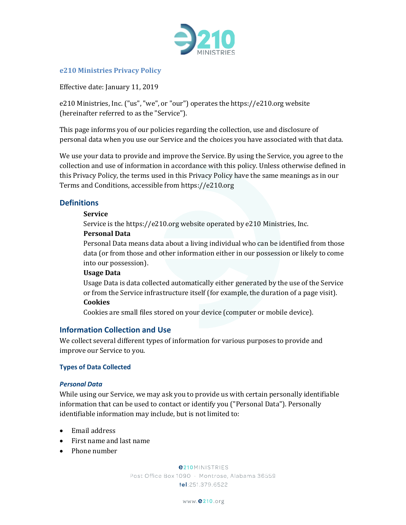

## **e210 Ministries Privacy Policy**

Effective date: January 11, 2019

e210 Ministries, Inc. ("us", "we", or "our") operates the https://e210.org website (hereinafter referred to as the "Service").

This page informs you of our policies regarding the collection, use and disclosure of personal data when you use our Service and the choices you have associated with that data.

We use your data to provide and improve the Service. By using the Service, you agree to the collection and use of information in accordance with this policy. Unless otherwise defined in this Privacy Policy, the terms used in this Privacy Policy have the same meanings as in our Terms and Conditions, accessible from https://e210.org

## **Definitions**

### **Service**

Service is the https://e210.org website operated by e210 Ministries, Inc.

## **Personal Data**

Personal Data means data about a living individual who can be identified from those data (or from those and other information either in our possession or likely to come into our possession).

## **Usage Data**

Usage Data is data collected automatically either generated by the use of the Service or from the Service infrastructure itself (for example, the duration of a page visit). **Cookies**

Cookies are small files stored on your device (computer or mobile device).

## **Information Collection and Use**

We collect several different types of information for various purposes to provide and improve our Service to you.

### **Types of Data Collected**

### *Personal Data*

While using our Service, we may ask you to provide us with certain personally identifiable information that can be used to contact or identify you ("Personal Data"). Personally identifiable information may include, but is not limited to:

- Email address
- First name and last name
- Phone number

**e210MINISTRIES** Post Office Box 1090 · Montrose, Alabama 36559 te:251.379.6522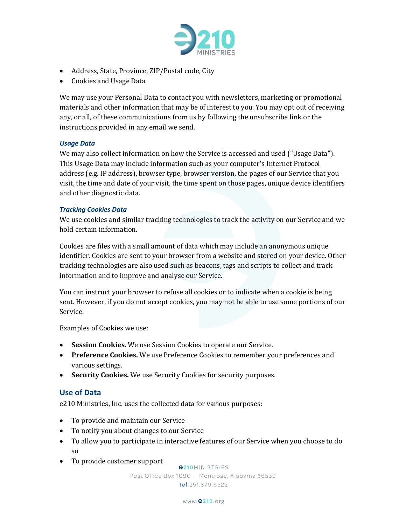

- Address, State, Province, ZIP/Postal code, City
- Cookies and Usage Data

We may use your Personal Data to contact you with newsletters, marketing or promotional materials and other information that may be of interest to you. You may opt out of receiving any, or all, of these communications from us by following the unsubscribe link or the instructions provided in any email we send.

## *Usage Data*

We may also collect information on how the Service is accessed and used ("Usage Data"). This Usage Data may include information such as your computer's Internet Protocol address  $(e.g.$  IP address), browser type, browser version, the pages of our Service that you visit, the time and date of your visit, the time spent on those pages, unique device identifiers and other diagnostic data.

## *Tracking Cookies Data*

We use cookies and similar tracking technologies to track the activity on our Service and we hold certain information.

Cookies are files with a small amount of data which may include an anonymous unique identifier. Cookies are sent to your browser from a website and stored on your device. Other tracking technologies are also used such as beacons, tags and scripts to collect and track information and to improve and analyse our Service.

You can instruct your browser to refuse all cookies or to indicate when a cookie is being sent. However, if you do not accept cookies, you may not be able to use some portions of our Service.

Examples of Cookies we use:

- Session Cookies. We use Session Cookies to operate our Service.
- **Preference Cookies.** We use Preference Cookies to remember your preferences and various settings.
- Security Cookies. We use Security Cookies for security purposes.

# **Use of Data**

e210 Ministries, Inc. uses the collected data for various purposes:

- To provide and maintain our Service
- To notify you about changes to our Service
- To allow you to participate in interactive features of our Service when you choose to do so
- To provide customer support

**e210MINISTRIES** Post Office Box 1090 · Montrose, Alabama 36559 te:251.379.6522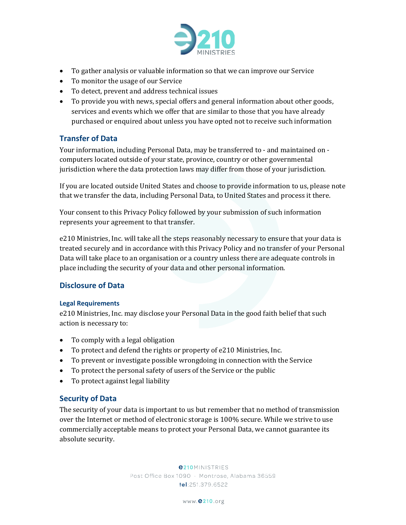

- To gather analysis or valuable information so that we can improve our Service
- To monitor the usage of our Service
- To detect, prevent and address technical issues
- To provide you with news, special offers and general information about other goods, services and events which we offer that are similar to those that you have already purchased or enquired about unless you have opted not to receive such information

# **Transfer of Data**

Your information, including Personal Data, may be transferred to - and maintained on computers located outside of your state, province, country or other governmental jurisdiction where the data protection laws may differ from those of your jurisdiction.

If you are located outside United States and choose to provide information to us, please note that we transfer the data, including Personal Data, to United States and process it there.

Your consent to this Privacy Policy followed by your submission of such information represents your agreement to that transfer.

e210 Ministries, Inc. will take all the steps reasonably necessary to ensure that your data is treated securely and in accordance with this Privacy Policy and no transfer of your Personal Data will take place to an organisation or a country unless there are adequate controls in place including the security of your data and other personal information.

# **Disclosure of Data**

## **Legal Requirements**

e210 Ministries, Inc. may disclose your Personal Data in the good faith belief that such action is necessary to:

- To comply with a legal obligation
- To protect and defend the rights or property of e210 Ministries, Inc.
- To prevent or investigate possible wrongdoing in connection with the Service
- To protect the personal safety of users of the Service or the public
- To protect against legal liability

# **Security of Data**

The security of your data is important to us but remember that no method of transmission over the Internet or method of electronic storage is 100% secure. While we strive to use commercially acceptable means to protect your Personal Data, we cannot guarantee its absolute security.

> **e210MINISTRIES** Post Office Box 1090 · Montrose, Alabama 36559 tel:251.379.6522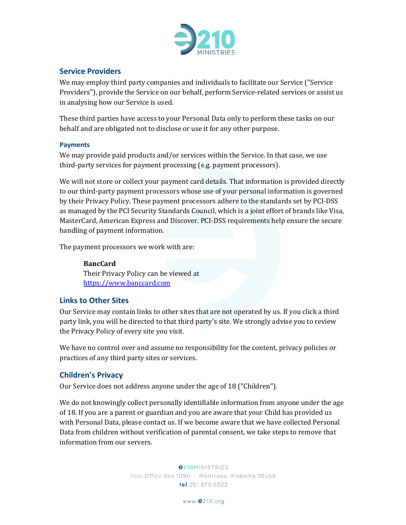

# **Service Providers**

We may employ third party companies and individuals to facilitate our Service ("Service Providers"), provide the Service on our behalf, perform Service-related services or assist us in analysing how our Service is used.

These third parties have access to your Personal Data only to perform these tasks on our behalf and are obligated not to disclose or use it for any other purpose.

## **Payments**

We may provide paid products and/or services within the Service. In that case, we use third-party services for payment processing (e.g. payment processors).

We will not store or collect your payment card details. That information is provided directly to our third-party payment processors whose use of your personal information is governed by their Privacy Policy. These payment processors adhere to the standards set by PCI-DSS as managed by the PCI Security Standards Council, which is a joint effort of brands like Visa, MasterCard, American Express and Discover. PCI-DSS requirements help ensure the secure handling of payment information.

The payment processors we work with are:

**BancCard** Their Privacy Policy can be viewed at https://www.banccard.com

# **Links to Other Sites**

Our Service may contain links to other sites that are not operated by us. If you click a third party link, you will be directed to that third party's site. We strongly advise you to review the Privacy Policy of every site you visit.

We have no control over and assume no responsibility for the content, privacy policies or practices of any third party sites or services.

# **Children's Privacy**

Our Service does not address anyone under the age of 18 ("Children").

We do not knowingly collect personally identifiable information from anyone under the age of 18. If you are a parent or guardian and you are aware that your Child has provided us with Personal Data, please contact us. If we become aware that we have collected Personal Data from children without verification of parental consent, we take steps to remove that information from our servers.